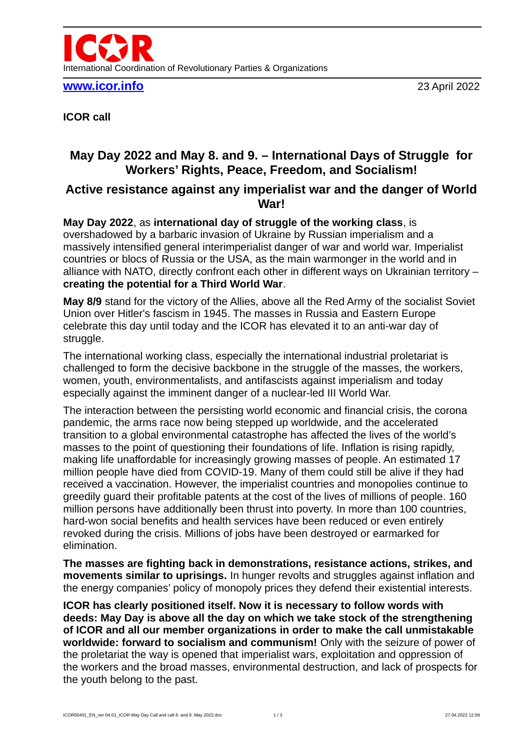

**[www.icor.info](http://www.icor.info/)** 23 April 2022

**ICOR call** 

## **May Day 2022 and May 8. and 9. – International Days of Struggle for Workers' Rights, Peace, Freedom, and Socialism!**

## **Active resistance against any imperialist war and the danger of World War!**

**May Day 2022**, as **international day of struggle of the working class**, is overshadowed by a barbaric invasion of Ukraine by Russian imperialism and a massively intensified general interimperialist danger of war and world war. Imperialist countries or blocs of Russia or the USA, as the main warmonger in the world and in alliance with NATO, directly confront each other in different ways on Ukrainian territory – **creating the potential for a Third World War**.

**May 8/9** stand for the victory of the Allies, above all the Red Army of the socialist Soviet Union over Hitler's fascism in 1945. The masses in Russia and Eastern Europe celebrate this day until today and the ICOR has elevated it to an anti-war day of struggle.

The international working class, especially the international industrial proletariat is challenged to form the decisive backbone in the struggle of the masses, the workers, women, youth, environmentalists, and antifascists against imperialism and today especially against the imminent danger of a nuclear-led III World War.

The interaction between the persisting world economic and financial crisis, the corona pandemic, the arms race now being stepped up worldwide, and the accelerated transition to a global environmental catastrophe has affected the lives of the world's masses to the point of questioning their foundations of life. Inflation is rising rapidly, making life unaffordable for increasingly growing masses of people. An estimated 17 million people have died from COVID-19. Many of them could still be alive if they had received a vaccination. However, the imperialist countries and monopolies continue to greedily guard their profitable patents at the cost of the lives of millions of people. 160 million persons have additionally been thrust into poverty. In more than 100 countries, hard-won social benefits and health services have been reduced or even entirely revoked during the crisis. Millions of jobs have been destroyed or earmarked for elimination.

**The masses are fighting back in demonstrations, resistance actions, strikes, and movements similar to uprisings.** In hunger revolts and struggles against inflation and the energy companies' policy of monopoly prices they defend their existential interests.

**ICOR has clearly positioned itself. Now it is necessary to follow words with deeds: May Day is above all the day on which we take stock of the strengthening of ICOR and all our member organizations in order to make the call unmistakable worldwide: forward to socialism and communism!** Only with the seizure of power of the proletariat the way is opened that imperialist wars, exploitation and oppression of the workers and the broad masses, environmental destruction, and lack of prospects for the youth belong to the past.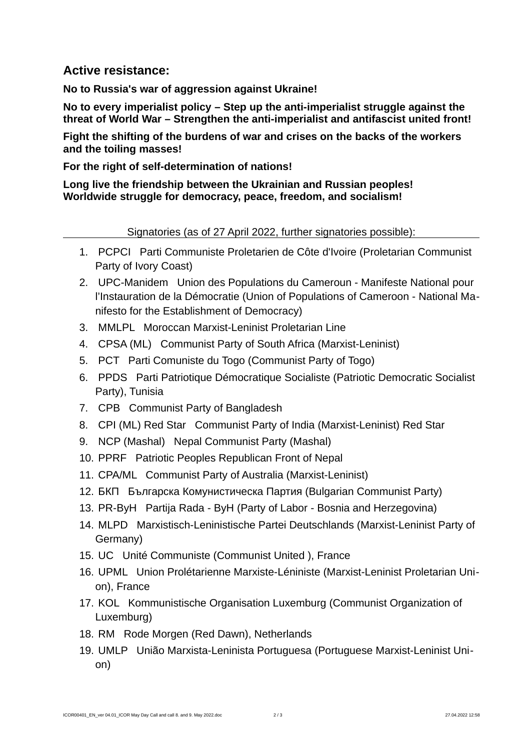## **Active resistance:**

**No to Russia's war of aggression against Ukraine!**

**No to every imperialist policy – Step up the anti-imperialist struggle against the threat of World War – Strengthen the anti-imperialist and antifascist united front!**

**Fight the shifting of the burdens of war and crises on the backs of the workers and the toiling masses!**

**For the right of self-determination of nations!**

**Long live the friendship between the Ukrainian and Russian peoples! Worldwide struggle for democracy, peace, freedom, and socialism!**

Signatories (as of 27 April 2022, further signatories possible):

- 1. PCPCI Parti Communiste Proletarien de Côte d'Ivoire (Proletarian Communist Party of Ivory Coast)
- 2. UPC-Manidem Union des Populations du Cameroun Manifeste National pour l'Instauration de la Démocratie (Union of Populations of Cameroon - National Manifesto for the Establishment of Democracy)
- 3. MMLPL Moroccan Marxist-Leninist Proletarian Line
- 4. CPSA (ML) Communist Party of South Africa (Marxist-Leninist)
- 5. PCT Parti Comuniste du Togo (Communist Party of Togo)
- 6. PPDS Parti Patriotique Démocratique Socialiste (Patriotic Democratic Socialist Party), Tunisia
- 7. CPB Communist Party of Bangladesh
- 8. CPI (ML) Red Star Communist Party of India (Marxist-Leninist) Red Star
- 9. NCP (Mashal) Nepal Communist Party (Mashal)
- 10. PPRF Patriotic Peoples Republican Front of Nepal
- 11. CPA/ML Communist Party of Australia (Marxist-Leninist)
- 12. БКП Българска Комунистическа Партия (Bulgarian Communist Party)
- 13. PR-ByH Partija Rada ByH (Party of Labor Bosnia and Herzegovina)
- 14. MLPD Marxistisch-Leninistische Partei Deutschlands (Marxist-Leninist Party of Germany)
- 15. UC Unité Communiste (Communist United ), France
- 16. UPML Union Prolétarienne Marxiste-Léniniste (Marxist-Leninist Proletarian Union), France
- 17. KOL Kommunistische Organisation Luxemburg (Communist Organization of Luxemburg)
- 18. RM Rode Morgen (Red Dawn), Netherlands
- 19. UMLP União Marxista-Leninista Portuguesa (Portuguese Marxist-Leninist Union)